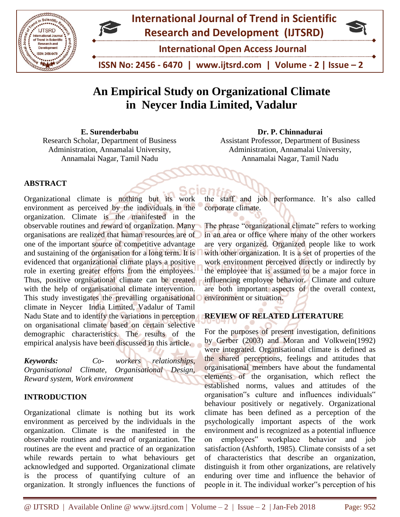

# **An Empirical Study on Organizational Climate in Neycer India Limited, Vadalur**

**E. Surenderbabu** Research Scholar, Department of Business Administration, Annamalai University, Annamalai Nagar, Tamil Nadu

**Dr. P. Chinnadurai** Assistant Professor, Department of Business Administration, Annamalai University, Annamalai Nagar, Tamil Nadu

# **ABSTRACT**

Organizational climate is nothing but its work environment as perceived by the individuals in the organization. Climate is the manifested in the observable routines and reward of organization. Many organisations are realized that human resources are of one of the important source of competitive advantage and sustaining of the organisation for a long term. It is evidenced that organizational climate plays a positive role in exerting greater efforts from the employees. Thus, positive orgnisational climate can be created with the help of organisational climate intervention. This study investigates the prevailing organisational climate in Neycer India Limited, Vadalur of Tamil Nadu State and to identify the variations in perception on organisational climate based on certain selective demographic characteristics. The results of the empirical analysis have been discussed in this article.

*Keywords:**Co- workers relationships, Organisational Climate, Organisational Design, Reward system, Work environment*

# **INTRODUCTION**

Organizational climate is nothing but its work environment as perceived by the individuals in the organization. Climate is the manifested in the observable routines and reward of organization. The routines are the event and practice of an organization while rewards pertain to what behaviours get acknowledged and supported. Organizational climate is the process of quantifying culture of an organization. It strongly influences the functions of

the staff and job performance. It's also called corporate climate.

The phrase "organizational climate" refers to working in an area or office where many of the other workers are very organized. Organized people like to work with other organization. It is a set of properties of the work environment perceived directly or indirectly by the employee that is assumed to be a major force in influencing employee behavior. Climate and culture are both important aspects of the overall context, environment or situation.

# **REVIEW OF RELATED LITERATURE**

For the purposes of present investigation, definitions by Gerber (2003) and Moran and Volkwein(1992) were integrated. Organisational climate is defined as the shared perceptions, feelings and attitudes that organisational members have about the fundamental elements of the organisation, which reflect the established norms, values and attitudes of the organisation"s culture and influences individuals" behaviour positively or negatively. Organizational climate has been defined as a perception of the psychologically important aspects of the work environment and is recognized as a potential influence on employees" workplace behavior and job satisfaction (Ashforth, 1985). Climate consists of a set of characteristics that describe an organization, distinguish it from other organizations, are relatively enduring over time and influence the behavior of people in it. The individual worker"s perception of his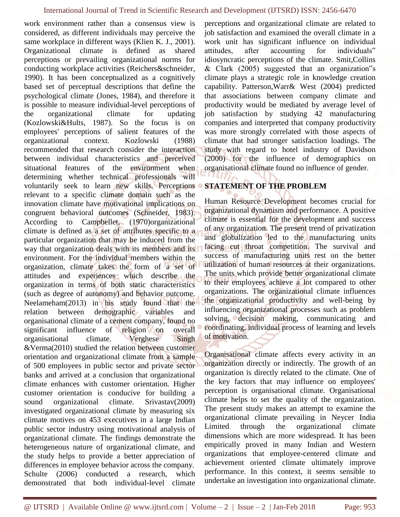work environment rather than a consensus view is considered, as different individuals may perceive the same workplace in different ways (Klien K. J., 2001). Organizational climate is defined as shared perceptions or prevailing organizational norms for conducting workplace activities (Reichers&schneider, 1990). It has been conceptualized as a cognitively based set of perceptual descriptions that define the psychological climate (Jones, 1984), and therefore it is possible to measure individual-level perceptions of the organizational climate for updating (Kozlowski&Hults, 1987). So the focus is on employees' perceptions of salient features of the organizational context. Kozlowski (1988) recommended that research consider the interaction between individual characteristics and perceived situational features of the environment when determining whether technical professionals will voluntarily seek to learn new skills. Perceptions relevant to a specific climate domain such as the innovation climate have motivational implications on congruent behavioral outcomes (Schneider, 1983). According to Campbellet, (1970)organizational climate is defined as a set of attributes specific to a particular organization that may be induced from the way that organization deals with its members and its environment. For the individual members within the organization, climate takes the form of a set of attitudes and experiences which describe the organization in terms of both static characteristics (such as degree of autonomy) and behavior outcome. Neelameham(2013) in his study found that the relation between demographic variables and organisational climate of a cement company, found no significant influence of religion on overall organisational climate. Verghese Singh &Verma(2010) studied the relation between customer orientation and organizational climate from a sample of 500 employees in public sector and private sector banks and arrived at a conclusion that organizational climate enhances with customer orientation. Higher customer orientation is conducive for building a sound organizational climate. Srivastav(2009) investigated organizational climate by measuring six climate motives on 453 executives in a large Indian public sector industry using motivational analysis of organizational climate. The findings demonstrate the heterogeneous nature of organizational climate, and the study helps to provide a better appreciation of differences in employee behavior across the company. Schulte (2006) conducted a research, which demonstrated that both individual-level climate

perceptions and organizational climate are related to job satisfaction and examined the overall climate in a work unit has significant influence on individual attitudes, after accounting for individuals" idiosyncratic perceptions of the climate. Smit,Collins & Clark (2005) suggested that an organization"s climate plays a strategic role in knowledge creation capability. Patterson,Warr& West (2004) predicted that associations between company climate and productivity would be mediated by average level of job satisfaction by studying 42 manufacturing companies and interpreted that company productivity was more strongly correlated with those aspects of climate that had stronger satisfaction loadings. The study with regard to hotel industry of Davidson (2000) for the influence of demographics on organisational climate found no influence of gender.

# **STATEMENT OF THE PROBLEM**

Human Resource Development becomes crucial for organizational dynamism and performance. A positive climate is essential for the development and success of any organization. The present trend of privatization and globalization led to the manufacturing units facing cut throat competition. The survival and success of manufacturing units rest on the better utilization of human resources at their organizations. The units which provide better organizational climate to their employees achieve a lot compared to other organizations. The organizational climate influences the organizational productivity and well-being by influencing organizational processes such as problem solving, decision making, communicating and coordinating, individual process of learning and levels of motivation.

Organisational climate affects every activity in an organization directly or indirectly. The growth of an organization is directly related to the climate. One of the key factors that may influence on employees' perception is organisational climate. Organisational climate helps to set the quality of the organization. The present study makes an attempt to examine the organizational climate prevailing in Neycer India Limited through the organizational climate dimensions which are more widespread. It has been empirically proved in many Indian and Western organizations that employee-centered climate and achievement oriented climate ultimately improve performance. In this context, it seems sensible to undertake an investigation into organizational climate.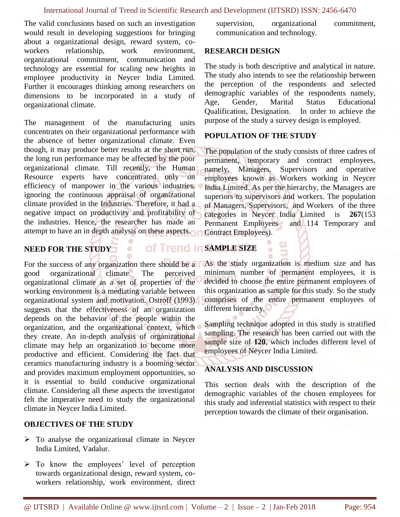The valid conclusions based on such an investigation would result in developing suggestions for bringing about a organizational design, reward system, coworkers relationship, work environment, organizational commitment, communication and technology are essential for scaling new heights in employee productivity in Neycer India Limited. Further it encourages thinking among researchers on dimensions to be incorporated in a study of organizational climate.

The management of the manufacturing units concentrates on their organizational performance with the absence of better organizational climate. Even though, it may produce better results at the short run, the long run performance may be affected by the poor organizational climate. Till recently, the Human Resource experts have concentrated only on efficiency of manpower in the various industries, ignoring the continuous appraisal of organizational climate provided in the Industries. Therefore, it had a negative impact on productivity and profitability of the industries. Hence, the researcher has made an attempt to have an in depth analysis on these aspects.

# **NEED FOR THE STUDY**

**Of Trend in SAMPLE SIZE** 

good organizational climate. The perceived organizational climate as a set of properties of the working environment is a mediating variable between organizational system and motivation. Ostroff (1993) suggests that the effectiveness of an organization depends on the behavior of the people within the organization, and the organizational context, which they create. An in-depth analysis of organizational climate may help an organization to become more productive and efficient. Considering the fact that ceramics manufacturing industry is a booming sector and provides maximum employment opportunities, so it is essential to build conducive organizational climate. Considering all these aspects the investigator felt the imperative need to study the organizational climate in Neycer India Limited.

# **OBJECTIVES OF THE STUDY**

- $\triangleright$  To analyse the organizational climate in Neycer India Limited, Vadalur.
- $\triangleright$  To know the employees' level of perception towards organizational design, reward system, coworkers relationship, work environment, direct

supervision, organizational commitment, communication and technology.

### **RESEARCH DESIGN**

The study is both descriptive and analytical in nature. The study also intends to see the relationship between the perception of the respondents and selected demographic variables of the respondents namely, Age, Gender, Marital Status Educational Qualification, Designation. In order to achieve the purpose of the study a survey design is employed.

# **POPULATION OF THE STUDY**

The population of the study consists of three cadres of permanent, temporary and contract employees, namely, Managers, Supervisors and operative employees known as Workers working in Neycer India Limited. As per the hierarchy, the Managers are superiors to supervisors and workers. The population of Managers, Supervisors, and Workers of the three categories in Neycer India Limited is **267**(153 Permanent Employees and 114 Temporary and Contract Employees).

For the success of any organization there should be a **As the study organization is medium** size and has minimum number of permanent employees, it is decided to choose the entire permanent employees of this organization as sample for this study. So the study comprises of the entire permanent employees of different hierarchy.

> Sampling technique adopted in this study is stratified sampling. The research has been carried out with the sample size of **120**, which includes different level of employees of Neycer India Limited.

# **ANALYSIS AND DISCUSSION**

This section deals with the description of the demographic variables of the chosen employees for this study and inferential statistics with respect to their perception towards the climate of their organisation.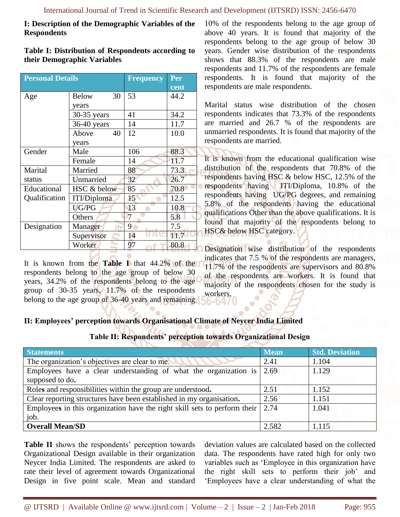### **I: Description of the Demographic Variables of the Respondents**

#### **Table I: Distribution of Respondents according to their Demographic Variables**

| <b>Personal Details</b> |                    | <b>Frequency</b> | Per  |
|-------------------------|--------------------|------------------|------|
|                         |                    |                  | cent |
| Age                     | 30<br><b>Below</b> | 53               | 44.2 |
|                         | years              |                  |      |
|                         | 30-35 years        | 41               | 34.2 |
|                         | 36-40 years        | 14               | 11.7 |
|                         | Above<br>40        | 12               | 10.0 |
|                         | years              |                  |      |
| Gender                  | Male               | 106              | 88.3 |
|                         | Female             | 14               | 11.7 |
| Marital                 | Married            | 88               | 73.3 |
| status                  | Unmarried          | 32               | 26.7 |
| Educational             | HSC & below        | 85               | 70.8 |
| Qualification           | ITI/Diploma        | 15               | 12.5 |
|                         | UG/PG              | 13               | 10.8 |
|                         | Others             | 7                | 5.8  |
| Designation             | Manager            | 9                | 7.5  |
|                         | Supervisor         | 14               | 11.7 |
|                         | Worker             | 97               | 80.8 |

It is known from the **Table I** that 44.2% of the respondents belong to the age group of below 30 years, 34.2% of the respondents belong to the age group of 30-35 years, 11.7% of the respondents belong to the age group of 36-40 years and remaining

10% of the respondents belong to the age group of above 40 years. It is found that majority of the respondents belong to the age group of below 30 years. Gender wise distribution of the respondents shows that 88.3% of the respondents are male respondents and 11.7% of the respondents are female respondents. It is found that majority of the respondents are male respondents.

Marital status wise distribution of the chosen respondents indicates that 73.3% of the respondents are married and 26.7 % of the respondents are unmarried respondents. It is found that majority of the respondents are married.

It is known from the educational qualification wise distribution of the respondents that 70.8% of the respondents having HSC & below HSC, 12.5% of the respondents having ITI/Diploma, 10.8% of the respondents having UG/PG degrees, and remaining 5.8% of the respondents having the educational qualifications Other than the above qualifications. It is found that majority of the respondents belong to **HSC& below HSC category.** 

Designation wise distribution of the respondents indicates that 7.5 % of the respondents are managers, 11.7% of the respondents are supervisors and 80.8% of the respondents are workers. It is found that majority of the respondents chosen for the study is workers.

# **II: Employees' perception towards Organisational Climate of Neycer India Limited**

| Table II: Respondents' perception towards Organizational Design |  |  |  |
|-----------------------------------------------------------------|--|--|--|
|-----------------------------------------------------------------|--|--|--|

| <b>Statements</b>                                                         | <b>Mean</b> | <b>Std. Deviation</b> |
|---------------------------------------------------------------------------|-------------|-----------------------|
| The organization's objectives are clear to me.                            | 2.41        | 1.104                 |
| Employees have a clear understanding of what the organization is          | 2.69        | 1.129                 |
| supposed to do.                                                           |             |                       |
| Roles and responsibilities within the group are understood.               | 2.51        | 1.152                 |
| Clear reporting structures have been established in my organisation.      | 2.56        | 1.151                 |
| Employees in this organization have the right skill sets to perform their | 2.74        | 1.041                 |
| job.                                                                      |             |                       |
| <b>Overall Mean/SD</b>                                                    | 2.582       | 1.115                 |

**Table II** shows the respondents' perception towards Organizational Design available in their organization Neycer India Limited. The respondents are asked to rate their level of agreement towards Organizational Design in five point scale. Mean and standard deviation values are calculated based on the collected data. The respondents have rated high for only two variables such as 'Employee in this organization have the right skill sets to perform their job' and 'Employees have a clear understanding of what the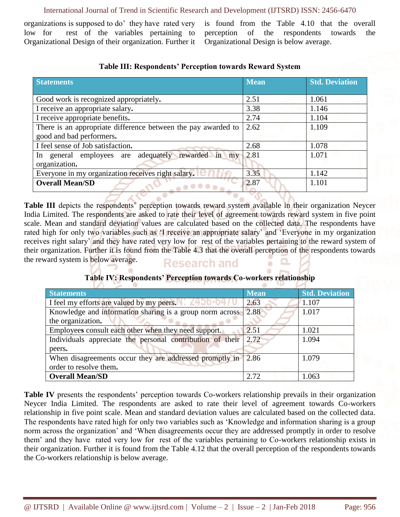#### International Journal of Trend in Scientific Research and Development (IJTSRD) ISSN: 2456-6470

organizations is supposed to do' they have rated very low for rest of the variables pertaining to Organizational Design of their organization. Further it is found from the Table 4.10 that the overall perception of the respondents towards the Organizational Design is below average.

| <b>Statements</b>                                             | <b>Mean</b> | <b>Std. Deviation</b> |
|---------------------------------------------------------------|-------------|-----------------------|
|                                                               |             |                       |
| Good work is recognized appropriately.                        | 2.51        | 1.061                 |
| I receive an appropriate salary.                              | 3.38        | 1.146                 |
| I receive appropriate benefits.                               | 2.74        | 1.104                 |
| There is an appropriate difference between the pay awarded to | 2.62        | 1.109                 |
| good and bad performers.                                      |             |                       |
| I feel sense of Job satisfaction.                             | 2.68        | 1.078                 |
| In general employees are adequately rewarded in my            | 2.81        | 1.071                 |
| organization.                                                 |             |                       |
| Everyone in my organization receives right salary.            | 3.35        | 1.142                 |
| <b>Overall Mean/SD</b>                                        | 2.87        | 1.101                 |

# **Table III: Respondents' Perception towards Reward System**

**Table III** depicts the respondents' perception towards reward system available in their organization Neycer India Limited. The respondents are asked to rate their level of agreement towards reward system in five point scale. Mean and standard deviation values are calculated based on the collected data. The respondents have rated high for only two variables such as 'I receive an appropriate salary' and 'Everyone in my organization receives right salary' and they have rated very low for rest of the variables pertaining to the reward system of their organization. Further it is found from the Table 4.3 that the overall perception of the respondents towards the reward system is below average. **Research and** 

# **Table IV: Respondents' Perception towards Co-workers relationship**

| <b>Statements</b>                                         | <b>Mean</b>       | <b>Std. Deviation</b> |
|-----------------------------------------------------------|-------------------|-----------------------|
| I feel my efforts are valued by my peers.                 | 2.63              | 1.107                 |
| Knowledge and information sharing is a group norm across  | 2.88              | 1.017                 |
| the organization.                                         |                   |                       |
| Employees consult each other when they need support.      | $2.\overline{51}$ | 1.021                 |
| Individuals appreciate the personal contribution of their | 2.72              | 1.094                 |
| peers.                                                    |                   |                       |
| When disagreements occur they are addressed promptly in   | 2.86              | 1.079                 |
| order to resolve them.                                    |                   |                       |
| <b>Overall Mean/SD</b>                                    | 2.72              | 1.063                 |

Table IV presents the respondents' perception towards Co-workers relationship prevails in their organization Neycer India Limited. The respondents are asked to rate their level of agreement towards Co-workers relationship in five point scale. Mean and standard deviation values are calculated based on the collected data. The respondents have rated high for only two variables such as 'Knowledge and information sharing is a group norm across the organization' and 'When disagreements occur they are addressed promptly in order to resolve them' and they have rated very low for rest of the variables pertaining to Co-workers relationship exists in their organization. Further it is found from the Table 4.12 that the overall perception of the respondents towards the Co-workers relationship is below average.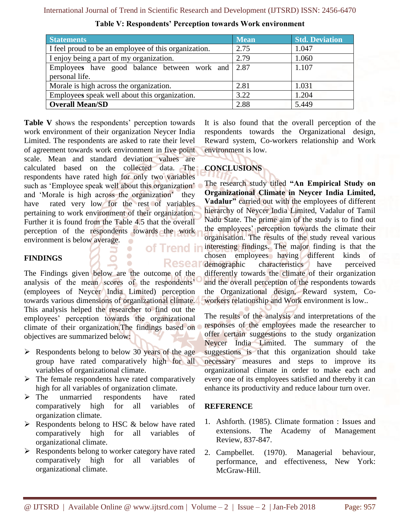| <b>Statements</b>                                               | <b>Mean</b> | <b>Std. Deviation</b> |
|-----------------------------------------------------------------|-------------|-----------------------|
| I feel proud to be an employee of this organization.            | 2.75        | 1.047                 |
| I enjoy being a part of my organization.                        | 2.79        | 1.060                 |
| Employees have good balance between work and $\vert 2.87 \vert$ |             | 1.107                 |
| personal life.                                                  |             |                       |
| Morale is high across the organization.                         | 2.81        | 1.031                 |
| Employees speak well about this organization.                   | 3.22        | 1.204                 |
| <b>Overall Mean/SD</b>                                          | 2.88        | 5.449                 |

**Table V: Respondents' Perception towards Work environment**

**Table V** shows the respondents' perception towards work environment of their organization Neycer India Limited. The respondents are asked to rate their level of agreement towards work environment in five point scale. Mean and standard deviation values are calculated based on the collected data. The respondents have rated high for only two variables such as 'Employee speak well about this organization' and 'Morale is high across the organization' they have rated very low for the rest of variables pertaining to work environment of their organization. Further it is found from the Table 4.5 that the overall perception of the respondents towards the work environment is below average.  $\bullet$ 

### **FINDINGS**

The Findings given below are the outcome of the analysis of the mean scores of the respondents' (employees of Neycer India Limited) perception towards various dimensions of organizational climate. This analysis helped the researcher to find out the employees' perception towards the organizational climate of their organization.The findings based on objectives are summarized below:

 $\bullet$  $\bullet$ ó

- $\triangleright$  Respondents belong to below 30 years of the age group have rated comparatively high for all variables of organizational climate.
- $\triangleright$  The female respondents have rated comparatively high for all variables of organization climate.
- $\triangleright$  The unmarried respondents have rated comparatively high for all variables of organization climate.
- $\triangleright$  Respondents belong to HSC & below have rated comparatively high for all variables of organizational climate.
- $\triangleright$  Respondents belong to worker category have rated comparatively high for all variables of organizational climate.

It is also found that the overall perception of the respondents towards the Organizational design, Reward system, Co-workers relationship and Work environment is low.

# **CONCLUSIONS**

The research study titled **"An Empirical Study on Organizational Climate in Neycer India Limited, Vadalur"** carried out with the employees of different hierarchy of Neycer India Limited, Vadalur of Tamil Nadu State. The prime aim of the study is to find out the employees' perception towards the climate their organisation. The results of the study reveal various interesting findings. The major finding is that the chosen employees having different kinds of Resear demographic characteristics have perceived differently towards the climate of their organization and the overall perception of the respondents towards the Organizational design, Reward system, Coworkers relationship and Work environment is low..

> The results of the analysis and interpretations of the responses of the employees made the researcher to offer certain suggestions to the study organization Neycer India Limited. The summary of the suggestions is that this organization should take necessary measures and steps to improve its organizational climate in order to make each and every one of its employees satisfied and thereby it can enhance its productivity and reduce labour turn over.

#### **REFERENCE**

- 1. Ashforth. (1985). Climate formation : Issues and extensions. The Academy of Management Review, 837-847.
- 2. Campbellet. (1970). Managerial behaviour, performance, and effectiveness, New York: McGraw-Hill.

of Trend in